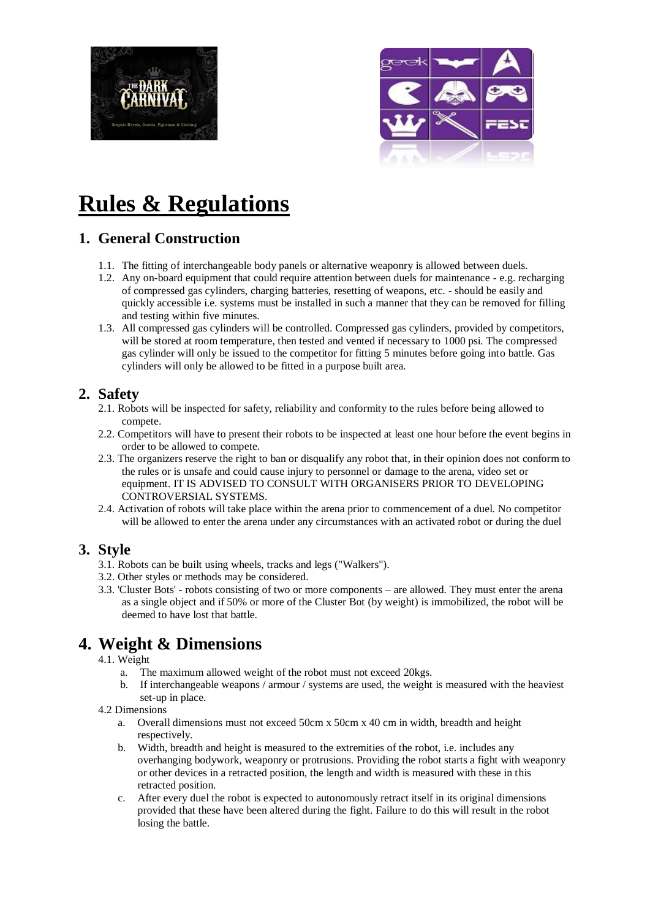



# **Rules & Regulations**

# **1. General Construction**

- 1.1. The fitting of interchangeable body panels or alternative weaponry is allowed between duels.
- 1.2. Any on-board equipment that could require attention between duels for maintenance e.g. recharging of compressed gas cylinders, charging batteries, resetting of weapons, etc. - should be easily and quickly accessible i.e. systems must be installed in such a manner that they can be removed for filling and testing within five minutes.
- 1.3. All compressed gas cylinders will be controlled. Compressed gas cylinders, provided by competitors, will be stored at room temperature, then tested and vented if necessary to 1000 psi. The compressed gas cylinder will only be issued to the competitor for fitting 5 minutes before going into battle. Gas cylinders will only be allowed to be fitted in a purpose built area.

# **2. Safety**

- 2.1. Robots will be inspected for safety, reliability and conformity to the rules before being allowed to compete.
- 2.2. Competitors will have to present their robots to be inspected at least one hour before the event begins in order to be allowed to compete.
- 2.3. The organizers reserve the right to ban or disqualify any robot that, in their opinion does not conform to the rules or is unsafe and could cause injury to personnel or damage to the arena, video set or equipment. IT IS ADVISED TO CONSULT WITH ORGANISERS PRIOR TO DEVELOPING CONTROVERSIAL SYSTEMS.
- 2.4. Activation of robots will take place within the arena prior to commencement of a duel. No competitor will be allowed to enter the arena under any circumstances with an activated robot or during the duel

# **3. Style**

- 3.1. Robots can be built using wheels, tracks and legs ("Walkers").
- 3.2. Other styles or methods may be considered.
- 3.3. 'Cluster Bots' robots consisting of two or more components are allowed. They must enter the arena as a single object and if 50% or more of the Cluster Bot (by weight) is immobilized, the robot will be deemed to have lost that battle.

# **4. Weight & Dimensions**

- 4.1. Weight
	- a. The maximum allowed weight of the robot must not exceed 20kgs.
	- b. If interchangeable weapons / armour / systems are used, the weight is measured with the heaviest set-up in place.
- 4.2 Dimensions
	- a. Overall dimensions must not exceed 50cm x 50cm x 40 cm in width, breadth and height respectively.
	- b. Width, breadth and height is measured to the extremities of the robot, i.e. includes any overhanging bodywork, weaponry or protrusions. Providing the robot starts a fight with weaponry or other devices in a retracted position, the length and width is measured with these in this retracted position.
	- c. After every duel the robot is expected to autonomously retract itself in its original dimensions provided that these have been altered during the fight. Failure to do this will result in the robot losing the battle.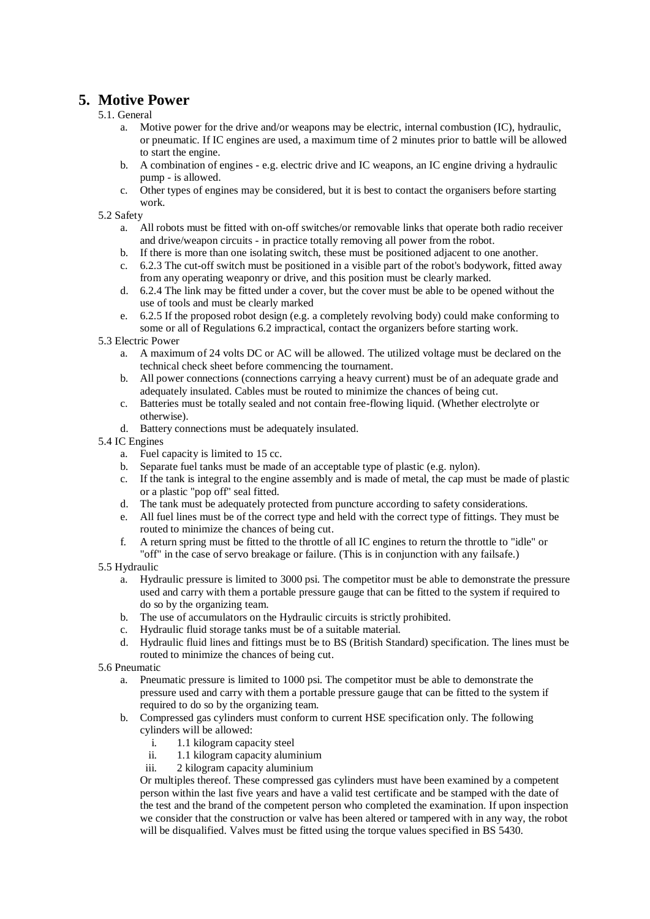# **5. Motive Power**

#### 5.1. General

- a. Motive power for the drive and/or weapons may be electric, internal combustion (IC), hydraulic, or pneumatic. If IC engines are used, a maximum time of 2 minutes prior to battle will be allowed to start the engine.
- b. A combination of engines e.g. electric drive and IC weapons, an IC engine driving a hydraulic pump - is allowed.
- c. Other types of engines may be considered, but it is best to contact the organisers before starting work.

5.2 Safety

- a. All robots must be fitted with on-off switches/or removable links that operate both radio receiver and drive/weapon circuits - in practice totally removing all power from the robot.
- b. If there is more than one isolating switch, these must be positioned adjacent to one another.
- c. 6.2.3 The cut-off switch must be positioned in a visible part of the robot's bodywork, fitted away from any operating weaponry or drive, and this position must be clearly marked.
- d. 6.2.4 The link may be fitted under a cover, but the cover must be able to be opened without the use of tools and must be clearly marked
- e. 6.2.5 If the proposed robot design (e.g. a completely revolving body) could make conforming to some or all of Regulations 6.2 impractical, contact the organizers before starting work.

#### 5.3 Electric Power

- a. A maximum of 24 volts DC or AC will be allowed. The utilized voltage must be declared on the technical check sheet before commencing the tournament.
- b. All power connections (connections carrying a heavy current) must be of an adequate grade and adequately insulated. Cables must be routed to minimize the chances of being cut.
- c. Batteries must be totally sealed and not contain free-flowing liquid. (Whether electrolyte or otherwise).
- d. Battery connections must be adequately insulated.

#### 5.4 IC Engines

- a. Fuel capacity is limited to 15 cc.
- b. Separate fuel tanks must be made of an acceptable type of plastic (e.g. nylon).
- c. If the tank is integral to the engine assembly and is made of metal, the cap must be made of plastic or a plastic "pop off" seal fitted.
- d. The tank must be adequately protected from puncture according to safety considerations.
- e. All fuel lines must be of the correct type and held with the correct type of fittings. They must be routed to minimize the chances of being cut.
- f. A return spring must be fitted to the throttle of all IC engines to return the throttle to "idle" or "off" in the case of servo breakage or failure. (This is in conjunction with any failsafe.)
- 5.5 Hydraulic
	- a. Hydraulic pressure is limited to 3000 psi. The competitor must be able to demonstrate the pressure used and carry with them a portable pressure gauge that can be fitted to the system if required to do so by the organizing team.
	- b. The use of accumulators on the Hydraulic circuits is strictly prohibited.
	- c. Hydraulic fluid storage tanks must be of a suitable material.
	- d. Hydraulic fluid lines and fittings must be to BS (British Standard) specification. The lines must be routed to minimize the chances of being cut.

5.6 Pneumatic

- Pneumatic pressure is limited to 1000 psi. The competitor must be able to demonstrate the pressure used and carry with them a portable pressure gauge that can be fitted to the system if required to do so by the organizing team.
- b. Compressed gas cylinders must conform to current HSE specification only. The following cylinders will be allowed:
	- i. 1.1 kilogram capacity steel
	- ii. 1.1 kilogram capacity aluminium
	- iii. 2 kilogram capacity aluminium

Or multiples thereof. These compressed gas cylinders must have been examined by a competent person within the last five years and have a valid test certificate and be stamped with the date of the test and the brand of the competent person who completed the examination. If upon inspection we consider that the construction or valve has been altered or tampered with in any way, the robot will be disqualified. Valves must be fitted using the torque values specified in BS 5430.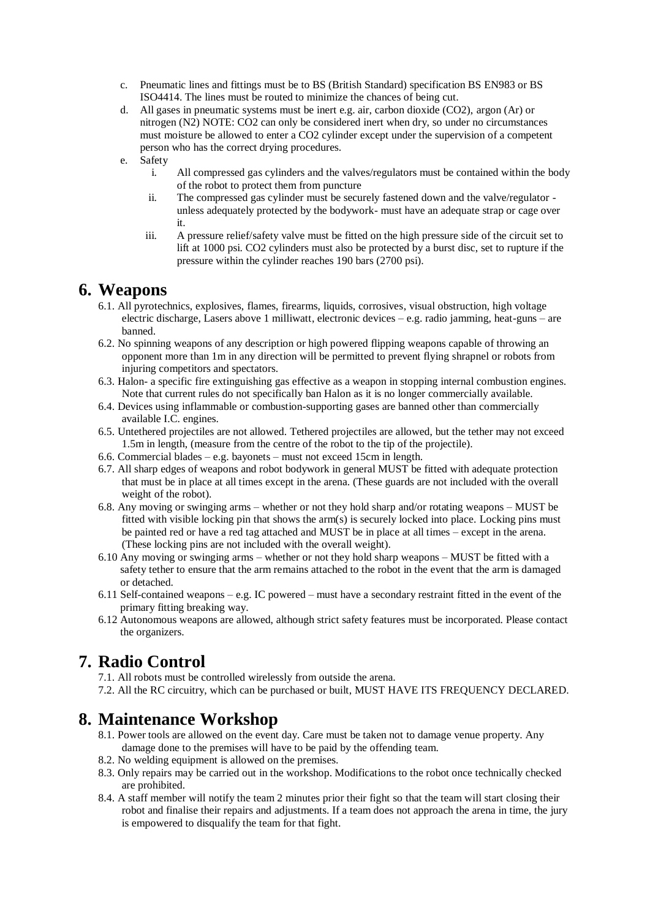- c. Pneumatic lines and fittings must be to BS (British Standard) specification BS EN983 or BS ISO4414. The lines must be routed to minimize the chances of being cut.
- d. All gases in pneumatic systems must be inert e.g. air, carbon dioxide (CO2), argon (Ar) or nitrogen (N2) NOTE: CO2 can only be considered inert when dry, so under no circumstances must moisture be allowed to enter a CO2 cylinder except under the supervision of a competent person who has the correct drying procedures.
- e. Safety
	- i. All compressed gas cylinders and the valves/regulators must be contained within the body of the robot to protect them from puncture
	- ii. The compressed gas cylinder must be securely fastened down and the valve/regulator unless adequately protected by the bodywork- must have an adequate strap or cage over it.
	- iii. A pressure relief/safety valve must be fitted on the high pressure side of the circuit set to lift at 1000 psi. CO2 cylinders must also be protected by a burst disc, set to rupture if the pressure within the cylinder reaches 190 bars (2700 psi).

### **6. Weapons**

- 6.1. All pyrotechnics, explosives, flames, firearms, liquids, corrosives, visual obstruction, high voltage electric discharge, Lasers above 1 milliwatt, electronic devices – e.g. radio jamming, heat-guns – are banned.
- 6.2. No spinning weapons of any description or high powered flipping weapons capable of throwing an opponent more than 1m in any direction will be permitted to prevent flying shrapnel or robots from injuring competitors and spectators.
- 6.3. Halon- a specific fire extinguishing gas effective as a weapon in stopping internal combustion engines. Note that current rules do not specifically ban Halon as it is no longer commercially available.
- 6.4. Devices using inflammable or combustion-supporting gases are banned other than commercially available I.C. engines.
- 6.5. Untethered projectiles are not allowed. Tethered projectiles are allowed, but the tether may not exceed 1.5m in length, (measure from the centre of the robot to the tip of the projectile).
- 6.6. Commercial blades e.g. bayonets must not exceed 15cm in length.
- 6.7. All sharp edges of weapons and robot bodywork in general MUST be fitted with adequate protection that must be in place at all times except in the arena. (These guards are not included with the overall weight of the robot).
- 6.8. Any moving or swinging arms whether or not they hold sharp and/or rotating weapons MUST be fitted with visible locking pin that shows the arm(s) is securely locked into place. Locking pins must be painted red or have a red tag attached and MUST be in place at all times – except in the arena. (These locking pins are not included with the overall weight).
- 6.10 Any moving or swinging arms whether or not they hold sharp weapons MUST be fitted with a safety tether to ensure that the arm remains attached to the robot in the event that the arm is damaged or detached.
- 6.11 Self-contained weapons e.g. IC powered must have a secondary restraint fitted in the event of the primary fitting breaking way.
- 6.12 Autonomous weapons are allowed, although strict safety features must be incorporated. Please contact the organizers.

# **7. Radio Control**

7.1. All robots must be controlled wirelessly from outside the arena.

7.2. All the RC circuitry, which can be purchased or built, MUST HAVE ITS FREQUENCY DECLARED.

# **8. Maintenance Workshop**

- 8.1. Power tools are allowed on the event day. Care must be taken not to damage venue property. Any damage done to the premises will have to be paid by the offending team.
- 8.2. No welding equipment is allowed on the premises.
- 8.3. Only repairs may be carried out in the workshop. Modifications to the robot once technically checked are prohibited.
- 8.4. A staff member will notify the team 2 minutes prior their fight so that the team will start closing their robot and finalise their repairs and adjustments. If a team does not approach the arena in time, the jury is empowered to disqualify the team for that fight.